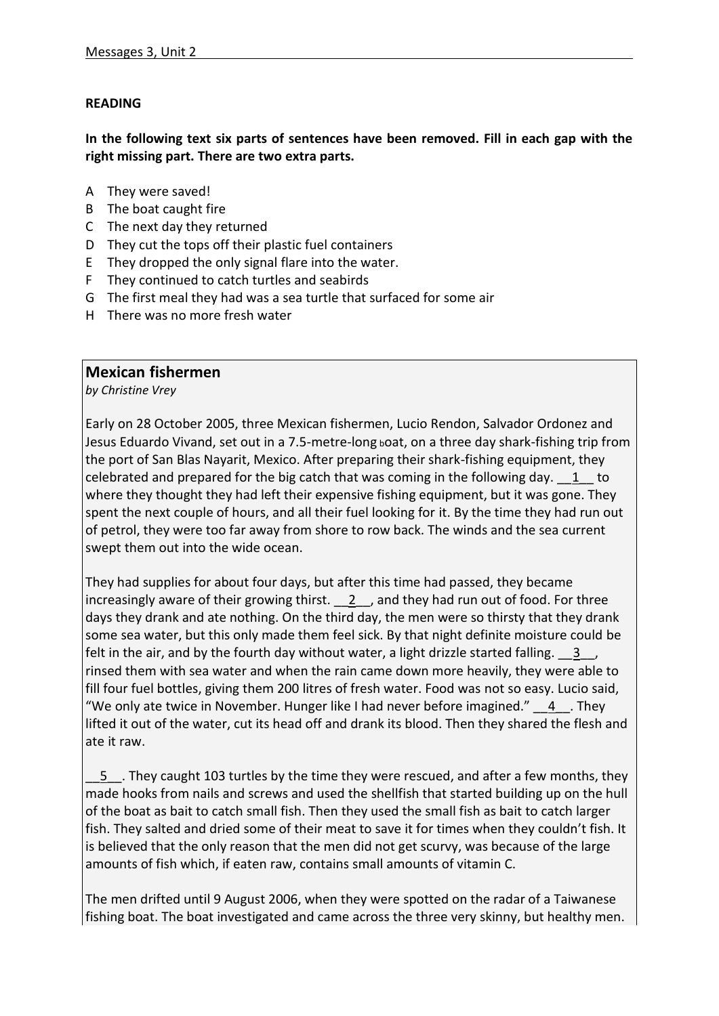## **READING**

**In the following text six parts of sentences have been removed. Fill in each gap with the right missing part. There are two extra parts.** 

- A They were saved!
- B The boat caught fire
- C The next day they returned
- D They cut the tops off their plastic fuel containers
- E They dropped the only signal flare into the water.
- F They continued to catch turtles and seabirds
- G The first meal they had was a sea turtle that surfaced for some air
- H There was no more fresh water

## **Mexican fishermen**

*by Christine Vrey*

Early on 28 October 2005, three Mexican fishermen, Lucio Rendon, Salvador Ordonez and Jesus Eduardo Vivand, set out in a 7.5-metre-long <sup>b</sup>oat, on a three day shark-fishing trip from the port of San Blas Nayarit, Mexico. After preparing their shark-fishing equipment, they celebrated and prepared for the big catch that was coming in the following day. \_\_1\_\_ to where they thought they had left their expensive fishing equipment, but it was gone. They spent the next couple of hours, and all their fuel looking for it. By the time they had run out of petrol, they were too far away from shore to row back. The winds and the sea current swept them out into the wide ocean.

They had supplies for about four days, but after this time had passed, they became increasingly aware of their growing thirst. <br>  $2$  , and they had run out of food. For three days they drank and ate nothing. On the third day, the men were so thirsty that they drank some sea water, but this only made them feel sick. By that night definite moisture could be felt in the air, and by the fourth day without water, a light drizzle started falling. 3, rinsed them with sea water and when the rain came down more heavily, they were able to fill four fuel bottles, giving them 200 litres of fresh water. Food was not so easy. Lucio said, "We only ate twice in November. Hunger like I had never before imagined."  $\quad 4$  They lifted it out of the water, cut its head off and drank its blood. Then they shared the flesh and ate it raw.

5 . They caught 103 turtles by the time they were rescued, and after a few months, they made hooks from nails and screws and used the shellfish that started building up on the hull of the boat as bait to catch small fish. Then they used the small fish as bait to catch larger fish. They salted and dried some of their meat to save it for times when they couldn't fish. It is believed that the only reason that the men did not get scurvy, was because of the large amounts of fish which, if eaten raw, contains small amounts of vitamin C.

The men drifted until 9 August 2006, when they were spotted on the radar of a Taiwanese fishing boat. The boat investigated and came across the three very skinny, but healthy men.